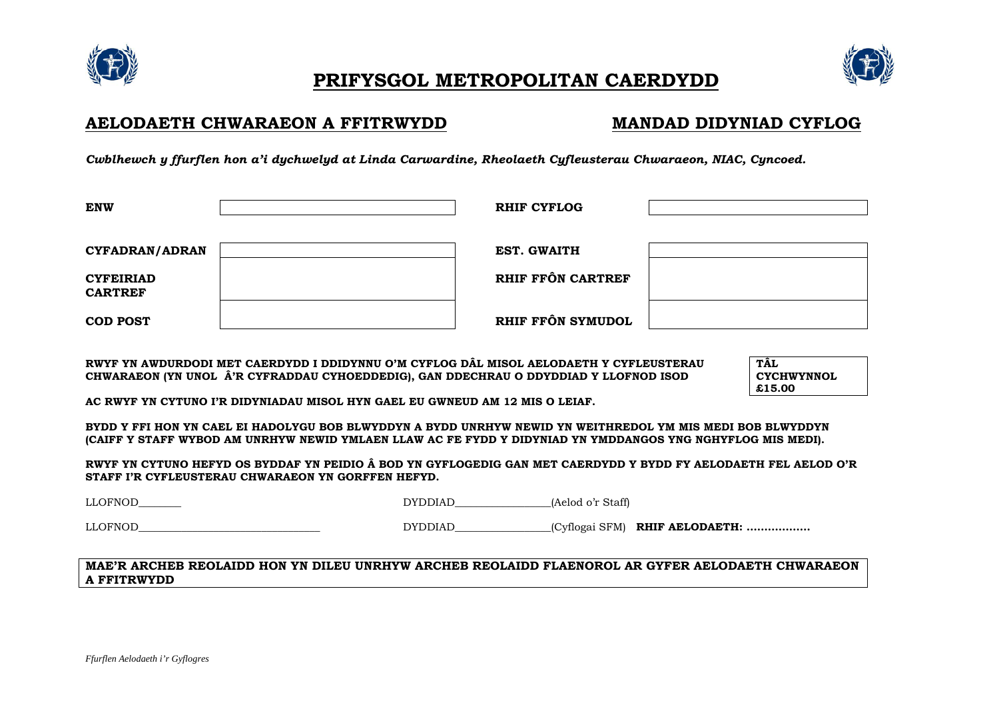





## AELODAETH CHWARAEON A FFITRWYDD

# **MANDAD DIDYNIAD CYFLOG**

Cwblhewch y ffurflen hon a'i dychwelyd at Linda Carwardine, Rheolaeth Cufleusterau Chwaraeon, NIAC. Cuncoed.

| <b>ENW</b>                         | <b>RHIF CYFLOG</b> |  |
|------------------------------------|--------------------|--|
| <b>CYFADRAN/ADRAN</b>              | <b>EST. GWAITH</b> |  |
| <b>CYFEIRIAD</b><br><b>CARTREF</b> | RHIF FFÔN CARTREF  |  |
| <b>COD POST</b>                    | RHIF FFÔN SYMUDOL  |  |

RWYF YN AWDURDODI MET CAERDYDD I DDIDYNNU O'M CYFLOG DÂL MISOL AELODAETH Y CYFLEUSTERAU CHWARAEON (YN UNOL Â'R CYFRADDAU CYHOEDDEDIG), GAN DDECHRAU O DDYDDIAD Y LLOFNOD ISOD

**TÂL CYCHWYNNOL** £15.00

AC RWYF YN CYTUNO I'R DIDYNIADAU MISOL HYN GAEL EU GWNEUD AM 12 MIS O LEIAF.

BYDD Y FFI HON YN CAEL EI HADOLYGU BOB BLWYDDYN A BYDD UNRHYW NEWID YN WEITHREDOL YM MIS MEDI BOB BLWYDDYN (CAIFF Y STAFF WYBOD AM UNRHYW NEWID YMLAEN LLAW AC FE FYDD Y DIDYNIAD YN YMDDANGOS YNG NGHYFLOG MIS MEDI).

RWYF YN CYTUNO HEFYD OS BYDDAF YN PEIDIO Â BOD YN GYFLOGEDIG GAN MET CAERDYDD Y BYDD FY AELODAETH FEL AELOD O'R STAFF I'R CYFLEUSTERAU CHWARAEON YN GORFFEN HEFYD.

DYDDIAD (Aelod o'r Staff)

LLOFNOD

**LLOFNOD** 

DYDDIAD\_\_\_\_\_\_\_\_\_\_\_\_\_\_(Cyflogai SFM) RHIF AELODAETH: ...................

### MAE'R ARCHEB REOLAIDD HON YN DILEU UNRHYW ARCHEB REOLAIDD FLAENOROL AR GYFER AELODAETH CHWARAEON **A FFITRWYDD**